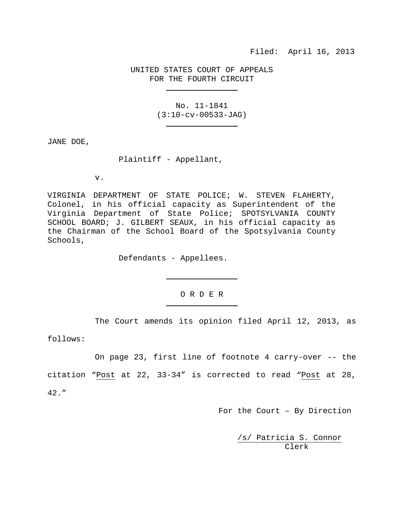UNITED STATES COURT OF APPEALS FOR THE FOURTH CIRCUIT

> No. 11-1841 (3:10-cv-00533-JAG)

JANE DOE,

Plaintiff - Appellant,

v.

VIRGINIA DEPARTMENT OF STATE POLICE; W. STEVEN FLAHERTY, Colonel, in his official capacity as Superintendent of the Virginia Department of State Police; SPOTSYLVANIA COUNTY SCHOOL BOARD; J. GILBERT SEAUX, in his official capacity as the Chairman of the School Board of the Spotsylvania County Schools,

Defendants - Appellees.

#### O R D E R

The Court amends its opinion filed April 12, 2013, as

follows:

On page 23, first line of footnote 4 carry-over -- the

citation "Post at 22, 33-34" is corrected to read "Post at 28, 42."

For the Court – By Direction

/s/ Patricia S. Connor Clerk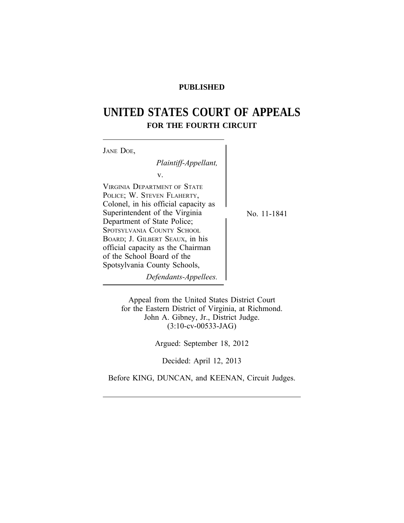## **PUBLISHED**

# **UNITED STATES COURT OF APPEALS FOR THE FOURTH CIRCUIT**

| JANE DOE,                                                                                                                                                                                                                                                                  |             |
|----------------------------------------------------------------------------------------------------------------------------------------------------------------------------------------------------------------------------------------------------------------------------|-------------|
| Plaintiff-Appellant,                                                                                                                                                                                                                                                       |             |
| V.                                                                                                                                                                                                                                                                         |             |
| VIRGINIA DEPARTMENT OF STATE<br>POLICE; W. STEVEN FLAHERTY,<br>Colonel, in his official capacity as<br>Superintendent of the Virginia<br>Department of State Police;<br>SPOTSYLVANIA COUNTY SCHOOL<br>BOARD; J. GILBERT SEAUX, in his<br>official capacity as the Chairman | No. 11-1841 |
| of the School Board of the<br>Spotsylvania County Schools,                                                                                                                                                                                                                 |             |
|                                                                                                                                                                                                                                                                            |             |

*Defendants-Appellees.*

Appeal from the United States District Court for the Eastern District of Virginia, at Richmond. John A. Gibney, Jr., District Judge. (3:10-cv-00533-JAG)

Argued: September 18, 2012

Decided: April 12, 2013

Before KING, DUNCAN, and KEENAN, Circuit Judges.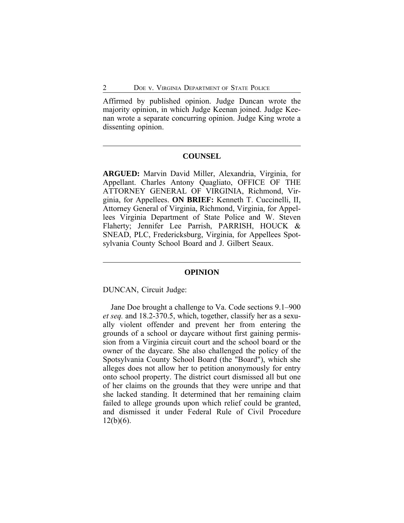Affirmed by published opinion. Judge Duncan wrote the majority opinion, in which Judge Keenan joined. Judge Keenan wrote a separate concurring opinion. Judge King wrote a dissenting opinion.

#### **COUNSEL**

**ARGUED:** Marvin David Miller, Alexandria, Virginia, for Appellant. Charles Antony Quagliato, OFFICE OF THE ATTORNEY GENERAL OF VIRGINIA, Richmond, Virginia, for Appellees. **ON BRIEF:** Kenneth T. Cuccinelli, II, Attorney General of Virginia, Richmond, Virginia, for Appellees Virginia Department of State Police and W. Steven Flaherty; Jennifer Lee Parrish, PARRISH, HOUCK & SNEAD, PLC, Fredericksburg, Virginia, for Appellees Spotsylvania County School Board and J. Gilbert Seaux.

## **OPINION**

DUNCAN, Circuit Judge:

Jane Doe brought a challenge to Va. Code sections 9.1–900 *et seq.* and 18.2-370.5, which, together, classify her as a sexually violent offender and prevent her from entering the grounds of a school or daycare without first gaining permission from a Virginia circuit court and the school board or the owner of the daycare. She also challenged the policy of the Spotsylvania County School Board (the "Board"), which she alleges does not allow her to petition anonymously for entry onto school property. The district court dismissed all but one of her claims on the grounds that they were unripe and that she lacked standing. It determined that her remaining claim failed to allege grounds upon which relief could be granted, and dismissed it under Federal Rule of Civil Procedure  $12(b)(6)$ .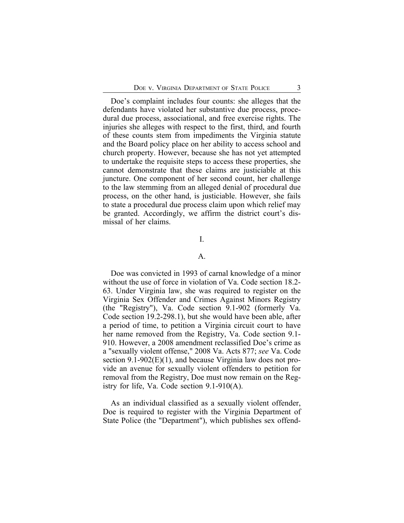Doe's complaint includes four counts: she alleges that the defendants have violated her substantive due process, procedural due process, associational, and free exercise rights. The injuries she alleges with respect to the first, third, and fourth of these counts stem from impediments the Virginia statute and the Board policy place on her ability to access school and church property. However, because she has not yet attempted to undertake the requisite steps to access these properties, she cannot demonstrate that these claims are justiciable at this juncture. One component of her second count, her challenge to the law stemming from an alleged denial of procedural due process, on the other hand, is justiciable. However, she fails to state a procedural due process claim upon which relief may be granted. Accordingly, we affirm the district court's dismissal of her claims.

## I.

#### A.

Doe was convicted in 1993 of carnal knowledge of a minor without the use of force in violation of Va. Code section 18.2- 63. Under Virginia law, she was required to register on the Virginia Sex Offender and Crimes Against Minors Registry (the "Registry"), Va. Code section 9.1-902 (formerly Va. Code section 19.2-298.1), but she would have been able, after a period of time, to petition a Virginia circuit court to have her name removed from the Registry, Va. Code section 9.1- 910. However, a 2008 amendment reclassified Doe's crime as a "sexually violent offense," 2008 Va. Acts 877; *see* Va. Code section 9.1-902(E)(1), and because Virginia law does not provide an avenue for sexually violent offenders to petition for removal from the Registry, Doe must now remain on the Registry for life, Va. Code section 9.1-910(A).

As an individual classified as a sexually violent offender, Doe is required to register with the Virginia Department of State Police (the "Department"), which publishes sex offend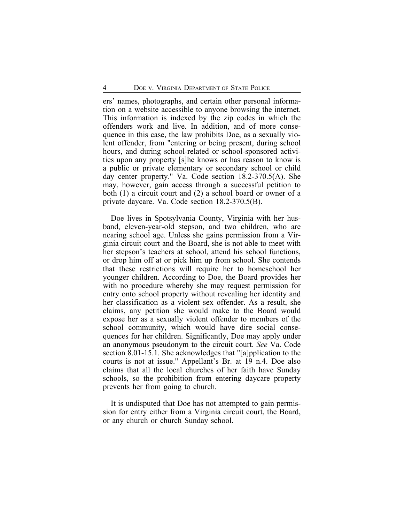ers' names, photographs, and certain other personal information on a website accessible to anyone browsing the internet. This information is indexed by the zip codes in which the offenders work and live. In addition, and of more consequence in this case, the law prohibits Doe, as a sexually violent offender, from "entering or being present, during school hours, and during school-related or school-sponsored activities upon any property [s]he knows or has reason to know is a public or private elementary or secondary school or child day center property." Va. Code section 18.2-370.5(A). She may, however, gain access through a successful petition to both (1) a circuit court and (2) a school board or owner of a private daycare. Va. Code section 18.2-370.5(B).

Doe lives in Spotsylvania County, Virginia with her husband, eleven-year-old stepson, and two children, who are nearing school age. Unless she gains permission from a Virginia circuit court and the Board, she is not able to meet with her stepson's teachers at school, attend his school functions, or drop him off at or pick him up from school. She contends that these restrictions will require her to homeschool her younger children. According to Doe, the Board provides her with no procedure whereby she may request permission for entry onto school property without revealing her identity and her classification as a violent sex offender. As a result, she claims, any petition she would make to the Board would expose her as a sexually violent offender to members of the school community, which would have dire social consequences for her children. Significantly, Doe may apply under an anonymous pseudonym to the circuit court. *See* Va. Code section 8.01-15.1. She acknowledges that "[a]pplication to the courts is not at issue." Appellant's Br. at 19 n.4. Doe also claims that all the local churches of her faith have Sunday schools, so the prohibition from entering daycare property prevents her from going to church.

It is undisputed that Doe has not attempted to gain permission for entry either from a Virginia circuit court, the Board, or any church or church Sunday school.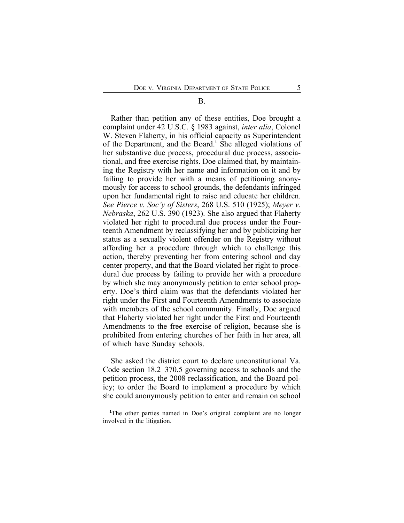#### B.

Rather than petition any of these entities, Doe brought a complaint under 42 U.S.C. § 1983 against, *inter alia*, Colonel W. Steven Flaherty, in his official capacity as Superintendent of the Department, and the Board.**<sup>1</sup>** She alleged violations of her substantive due process, procedural due process, associational, and free exercise rights. Doe claimed that, by maintaining the Registry with her name and information on it and by failing to provide her with a means of petitioning anonymously for access to school grounds, the defendants infringed upon her fundamental right to raise and educate her children. *See Pierce v. Soc'y of Sisters*, 268 U.S. 510 (1925); *Meyer v. Nebraska*, 262 U.S. 390 (1923). She also argued that Flaherty violated her right to procedural due process under the Fourteenth Amendment by reclassifying her and by publicizing her status as a sexually violent offender on the Registry without affording her a procedure through which to challenge this action, thereby preventing her from entering school and day center property, and that the Board violated her right to procedural due process by failing to provide her with a procedure by which she may anonymously petition to enter school property. Doe's third claim was that the defendants violated her right under the First and Fourteenth Amendments to associate with members of the school community. Finally, Doe argued that Flaherty violated her right under the First and Fourteenth Amendments to the free exercise of religion, because she is prohibited from entering churches of her faith in her area, all of which have Sunday schools.

She asked the district court to declare unconstitutional Va. Code section 18.2–370.5 governing access to schools and the petition process, the 2008 reclassification, and the Board policy; to order the Board to implement a procedure by which she could anonymously petition to enter and remain on school

<sup>&</sup>lt;sup>1</sup>The other parties named in Doe's original complaint are no longer involved in the litigation.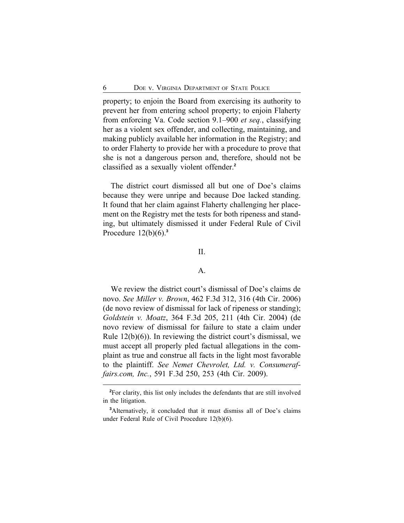property; to enjoin the Board from exercising its authority to prevent her from entering school property; to enjoin Flaherty from enforcing Va. Code section 9.1–900 *et seq.*, classifying her as a violent sex offender, and collecting, maintaining, and making publicly available her information in the Registry; and to order Flaherty to provide her with a procedure to prove that she is not a dangerous person and, therefore, should not be classified as a sexually violent offender.**<sup>2</sup>**

The district court dismissed all but one of Doe's claims because they were unripe and because Doe lacked standing. It found that her claim against Flaherty challenging her placement on the Registry met the tests for both ripeness and standing, but ultimately dismissed it under Federal Rule of Civil Procedure 12(b)(6).**<sup>3</sup>**

#### II.

#### A.

We review the district court's dismissal of Doe's claims de novo. *See Miller v. Brown*, 462 F.3d 312, 316 (4th Cir. 2006) (de novo review of dismissal for lack of ripeness or standing); *Goldstein v. Moatz*, 364 F.3d 205, 211 (4th Cir. 2004) (de novo review of dismissal for failure to state a claim under Rule 12(b)(6)). In reviewing the district court's dismissal, we must accept all properly pled factual allegations in the complaint as true and construe all facts in the light most favorable to the plaintiff. *See Nemet Chevrolet, Ltd. v. Consumeraffairs.com, Inc.*, 591 F.3d 250, 253 (4th Cir. 2009).

**<sup>2</sup>**For clarity, this list only includes the defendants that are still involved in the litigation.

**<sup>3</sup>**Alternatively, it concluded that it must dismiss all of Doe's claims under Federal Rule of Civil Procedure 12(b)(6).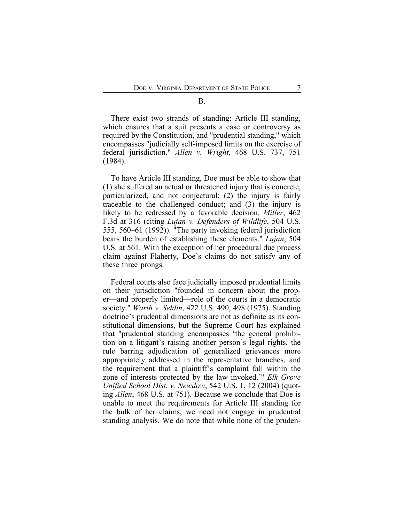B.

There exist two strands of standing: Article III standing, which ensures that a suit presents a case or controversy as required by the Constitution, and "prudential standing," which encompasses "judicially self-imposed limits on the exercise of federal jurisdiction." *Allen v. Wright*, 468 U.S. 737, 751 (1984).

To have Article III standing, Doe must be able to show that (1) she suffered an actual or threatened injury that is concrete, particularized, and not conjectural; (2) the injury is fairly traceable to the challenged conduct; and (3) the injury is likely to be redressed by a favorable decision. *Miller*, 462 F.3d at 316 (citing *Lujan v. Defenders of Wildlife*, 504 U.S. 555, 560–61 (1992)). "The party invoking federal jurisdiction bears the burden of establishing these elements." *Lujan*, 504 U.S. at 561. With the exception of her procedural due process claim against Flaherty, Doe's claims do not satisfy any of these three prongs.

Federal courts also face judicially imposed prudential limits on their jurisdiction "founded in concern about the proper—and properly limited—role of the courts in a democratic society." *Warth v. Seldin*, 422 U.S. 490, 498 (1975). Standing doctrine's prudential dimensions are not as definite as its constitutional dimensions, but the Supreme Court has explained that "prudential standing encompasses 'the general prohibition on a litigant's raising another person's legal rights, the rule barring adjudication of generalized grievances more appropriately addressed in the representative branches, and the requirement that a plaintiff's complaint fall within the zone of interests protected by the law invoked.'" *Elk Grove Unified School Dist. v. Newdow*, 542 U.S. 1, 12 (2004) (quoting *Allen*, 468 U.S. at 751). Because we conclude that Doe is unable to meet the requirements for Article III standing for the bulk of her claims, we need not engage in prudential standing analysis. We do note that while none of the pruden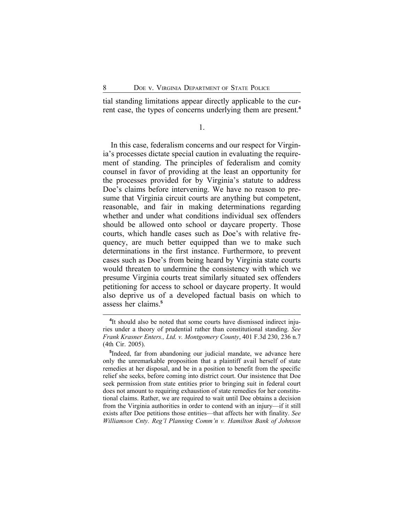tial standing limitations appear directly applicable to the current case, the types of concerns underlying them are present.**<sup>4</sup>**

1.

In this case, federalism concerns and our respect for Virginia's processes dictate special caution in evaluating the requirement of standing. The principles of federalism and comity counsel in favor of providing at the least an opportunity for the processes provided for by Virginia's statute to address Doe's claims before intervening. We have no reason to presume that Virginia circuit courts are anything but competent, reasonable, and fair in making determinations regarding whether and under what conditions individual sex offenders should be allowed onto school or daycare property. Those courts, which handle cases such as Doe's with relative frequency, are much better equipped than we to make such determinations in the first instance. Furthermore, to prevent cases such as Doe's from being heard by Virginia state courts would threaten to undermine the consistency with which we presume Virginia courts treat similarly situated sex offenders petitioning for access to school or daycare property. It would also deprive us of a developed factual basis on which to assess her claims.**<sup>5</sup>**

<sup>&</sup>lt;sup>4</sup>It should also be noted that some courts have dismissed indirect injuries under a theory of prudential rather than constitutional standing. *See Frank Krasner Enters., Ltd. v. Montgomery County*, 401 F.3d 230, 236 n.7 (4th Cir. 2005).

**<sup>5</sup>** Indeed, far from abandoning our judicial mandate, we advance here only the unremarkable proposition that a plaintiff avail herself of state remedies at her disposal, and be in a position to benefit from the specific relief she seeks, before coming into district court. Our insistence that Doe seek permission from state entities prior to bringing suit in federal court does not amount to requiring exhaustion of state remedies for her constitutional claims. Rather, we are required to wait until Doe obtains a decision from the Virginia authorities in order to contend with an injury—if it still exists after Doe petitions those entities—that affects her with finality. *See Williamson Cnty. Reg'l Planning Comm'n v. Hamilton Bank of Johnson*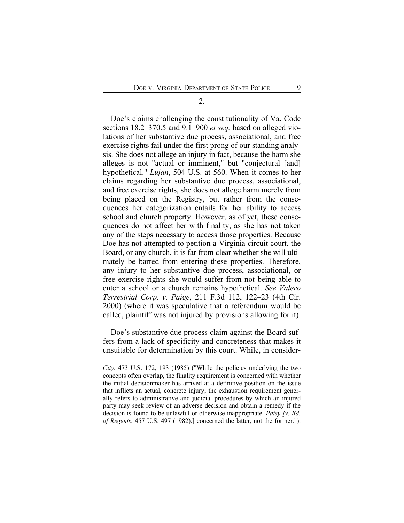2.

Doe's claims challenging the constitutionality of Va. Code sections 18.2–370.5 and 9.1–900 *et seq.* based on alleged violations of her substantive due process, associational, and free exercise rights fail under the first prong of our standing analysis. She does not allege an injury in fact, because the harm she alleges is not "actual or imminent," but "conjectural [and] hypothetical." *Lujan*, 504 U.S. at 560. When it comes to her claims regarding her substantive due process, associational, and free exercise rights, she does not allege harm merely from being placed on the Registry, but rather from the consequences her categorization entails for her ability to access school and church property. However, as of yet, these consequences do not affect her with finality, as she has not taken any of the steps necessary to access those properties. Because Doe has not attempted to petition a Virginia circuit court, the Board, or any church, it is far from clear whether she will ultimately be barred from entering these properties. Therefore, any injury to her substantive due process, associational, or free exercise rights she would suffer from not being able to enter a school or a church remains hypothetical. *See Valero Terrestrial Corp. v. Paige*, 211 F.3d 112, 122–23 (4th Cir. 2000) (where it was speculative that a referendum would be called, plaintiff was not injured by provisions allowing for it).

Doe's substantive due process claim against the Board suffers from a lack of specificity and concreteness that makes it unsuitable for determination by this court. While, in consider-

*City*, 473 U.S. 172, 193 (1985) ("While the policies underlying the two concepts often overlap, the finality requirement is concerned with whether the initial decisionmaker has arrived at a definitive position on the issue that inflicts an actual, concrete injury; the exhaustion requirement generally refers to administrative and judicial procedures by which an injured party may seek review of an adverse decision and obtain a remedy if the decision is found to be unlawful or otherwise inappropriate. *Patsy [v. Bd. of Regents*, 457 U.S. 497 (1982),] concerned the latter, not the former.").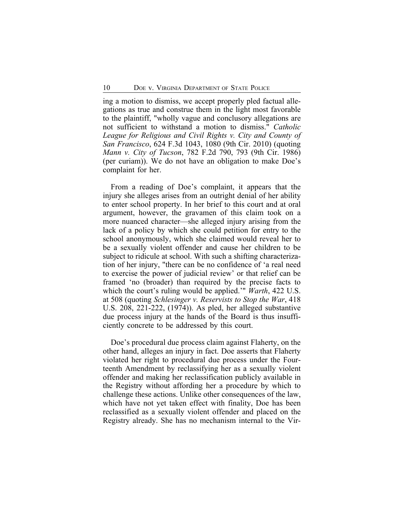ing a motion to dismiss, we accept properly pled factual allegations as true and construe them in the light most favorable to the plaintiff, "wholly vague and conclusory allegations are not sufficient to withstand a motion to dismiss." *Catholic League for Religious and Civil Rights v. City and County of San Francisco*, 624 F.3d 1043, 1080 (9th Cir. 2010) (quoting *Mann v. City of Tucson*, 782 F.2d 790, 793 (9th Cir. 1986) (per curiam)). We do not have an obligation to make Doe's complaint for her.

From a reading of Doe's complaint, it appears that the injury she alleges arises from an outright denial of her ability to enter school property. In her brief to this court and at oral argument, however, the gravamen of this claim took on a more nuanced character—she alleged injury arising from the lack of a policy by which she could petition for entry to the school anonymously, which she claimed would reveal her to be a sexually violent offender and cause her children to be subject to ridicule at school. With such a shifting characterization of her injury, "there can be no confidence of 'a real need to exercise the power of judicial review' or that relief can be framed 'no (broader) than required by the precise facts to which the court's ruling would be applied.'" *Warth*, 422 U.S. at 508 (quoting *Schlesinger v. Reservists to Stop the War*, 418 U.S. 208, 221-222, (1974)). As pled, her alleged substantive due process injury at the hands of the Board is thus insufficiently concrete to be addressed by this court.

Doe's procedural due process claim against Flaherty, on the other hand, alleges an injury in fact. Doe asserts that Flaherty violated her right to procedural due process under the Fourteenth Amendment by reclassifying her as a sexually violent offender and making her reclassification publicly available in the Registry without affording her a procedure by which to challenge these actions. Unlike other consequences of the law, which have not yet taken effect with finality, Doe has been reclassified as a sexually violent offender and placed on the Registry already. She has no mechanism internal to the Vir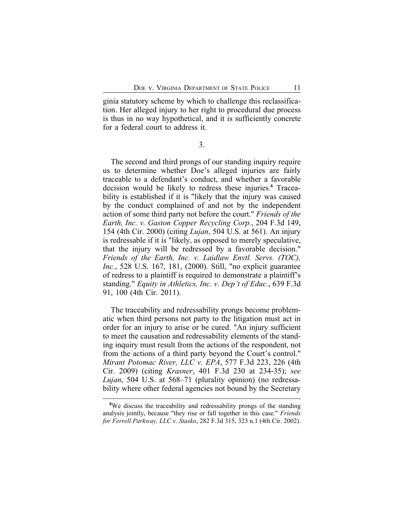ginia statutory scheme by which to challenge this reclassification. Her alleged injury to her right to procedural due process is thus in no way hypothetical, and it is sufficiently concrete for a federal court to address it.

3.

The second and third prongs of our standing inquiry require us to determine whether Doe's alleged injuries are fairly traceable to a defendant's conduct, and whether a favorable decision would be likely to redress these injuries.**<sup>6</sup>** Traceability is established if it is "likely that the injury was caused by the conduct complained of and not by the independent action of some third party not before the court." *Friends of the Earth, Inc. v. Gaston Copper Recycling Corp.*, 204 F.3d 149, 154 (4th Cir. 2000) (citing *Lujan*, 504 U.S. at 561). An injury is redressable if it is "likely, as opposed to merely speculative, that the injury will be redressed by a favorable decision." *Friends of the Earth, Inc. v. Laidlaw Envtl. Servs. (TOC), Inc.*, 528 U.S. 167, 181, (2000). Still, "no explicit guarantee of redress to a plaintiff is required to demonstrate a plaintiff's standing." *Equity in Athletics, Inc. v. Dep't of Educ.*, 639 F.3d 91, 100 (4th Cir. 2011).

The traceability and redressability prongs become problematic when third persons not party to the litigation must act in order for an injury to arise or be cured. "An injury sufficient to meet the causation and redressability elements of the standing inquiry must result from the actions of the respondent, not from the actions of a third party beyond the Court's control." *Mirant Potomac River, LLC v. EPA*, 577 F.3d 223, 226 (4th Cir. 2009) (citing *Krasner*, 401 F.3d 230 at 234-35); *see Lujan*, 504 U.S. at 568–71 (plurality opinion) (no redressability where other federal agencies not bound by the Secretary

**<sup>6</sup>**We discuss the traceability and redressability prongs of the standing analysis jointly, because "they rise or fall together in this case." *Friends for Ferrell Parkway, LLC v. Stasko*, 282 F.3d 315, 323 n.1 (4th Cir. 2002).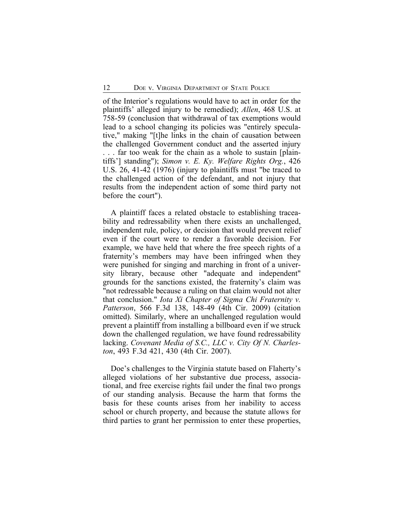of the Interior's regulations would have to act in order for the plaintiffs' alleged injury to be remedied); *Allen*, 468 U.S. at 758-59 (conclusion that withdrawal of tax exemptions would lead to a school changing its policies was "entirely speculative," making "[t]he links in the chain of causation between the challenged Government conduct and the asserted injury . . . far too weak for the chain as a whole to sustain [plaintiffs'] standing"); *Simon v. E. Ky. Welfare Rights Org.*, 426 U.S. 26, 41-42 (1976) (injury to plaintiffs must "be traced to the challenged action of the defendant, and not injury that results from the independent action of some third party not before the court").

A plaintiff faces a related obstacle to establishing traceability and redressability when there exists an unchallenged, independent rule, policy, or decision that would prevent relief even if the court were to render a favorable decision. For example, we have held that where the free speech rights of a fraternity's members may have been infringed when they were punished for singing and marching in front of a university library, because other "adequate and independent" grounds for the sanctions existed, the fraternity's claim was "not redressable because a ruling on that claim would not alter that conclusion." *Iota Xi Chapter of Sigma Chi Fraternity v. Patterson*, 566 F.3d 138, 148-49 (4th Cir. 2009) (citation omitted). Similarly, where an unchallenged regulation would prevent a plaintiff from installing a billboard even if we struck down the challenged regulation, we have found redressability lacking. *Covenant Media of S.C., LLC v. City Of N. Charleston*, 493 F.3d 421, 430 (4th Cir. 2007).

Doe's challenges to the Virginia statute based on Flaherty's alleged violations of her substantive due process, associational, and free exercise rights fail under the final two prongs of our standing analysis. Because the harm that forms the basis for these counts arises from her inability to access school or church property, and because the statute allows for third parties to grant her permission to enter these properties,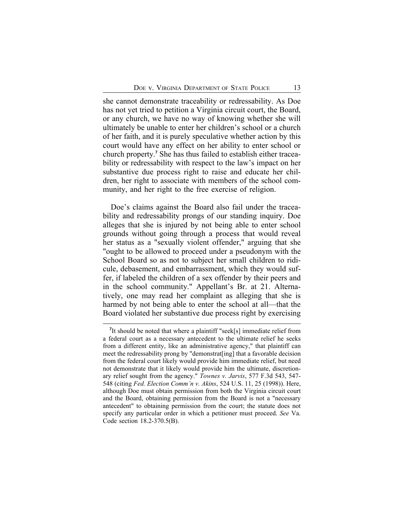she cannot demonstrate traceability or redressability. As Doe has not yet tried to petition a Virginia circuit court, the Board, or any church, we have no way of knowing whether she will ultimately be unable to enter her children's school or a church of her faith, and it is purely speculative whether action by this court would have any effect on her ability to enter school or church property.**<sup>7</sup>** She has thus failed to establish either traceability or redressability with respect to the law's impact on her substantive due process right to raise and educate her children, her right to associate with members of the school community, and her right to the free exercise of religion.

Doe's claims against the Board also fail under the traceability and redressability prongs of our standing inquiry. Doe alleges that she is injured by not being able to enter school grounds without going through a process that would reveal her status as a "sexually violent offender," arguing that she "ought to be allowed to proceed under a pseudonym with the School Board so as not to subject her small children to ridicule, debasement, and embarrassment, which they would suffer, if labeled the children of a sex offender by their peers and in the school community." Appellant's Br. at 21. Alternatively, one may read her complaint as alleging that she is harmed by not being able to enter the school at all—that the Board violated her substantive due process right by exercising

<sup>&</sup>lt;sup>7</sup>It should be noted that where a plaintiff "seek[s] immediate relief from a federal court as a necessary antecedent to the ultimate relief he seeks from a different entity, like an administrative agency," that plaintiff can meet the redressability prong by "demonstrat[ing] that a favorable decision from the federal court likely would provide him immediate relief, but need not demonstrate that it likely would provide him the ultimate, discretionary relief sought from the agency." *Townes v. Jarvis*, 577 F.3d 543, 547- 548 (citing *Fed. Election Comm'n v. Akins*, 524 U.S. 11, 25 (1998)). Here, although Doe must obtain permission from both the Virginia circuit court and the Board, obtaining permission from the Board is not a "necessary antecedent" to obtaining permission from the court; the statute does not specify any particular order in which a petitioner must proceed. *See* Va. Code section 18.2-370.5(B).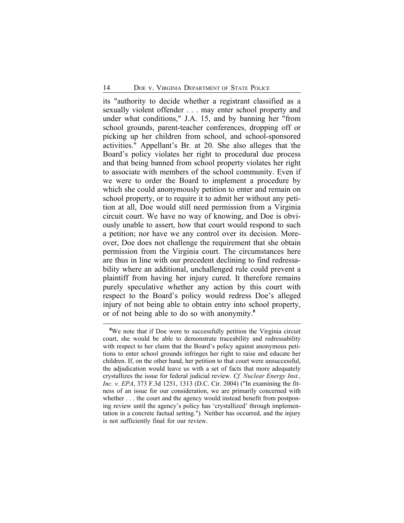its "authority to decide whether a registrant classified as a sexually violent offender . . . may enter school property and under what conditions," J.A. 15, and by banning her "from school grounds, parent-teacher conferences, dropping off or picking up her children from school, and school-sponsored activities." Appellant's Br. at 20. She also alleges that the Board's policy violates her right to procedural due process and that being banned from school property violates her right to associate with members of the school community. Even if we were to order the Board to implement a procedure by which she could anonymously petition to enter and remain on school property, or to require it to admit her without any petition at all, Doe would still need permission from a Virginia circuit court. We have no way of knowing, and Doe is obviously unable to assert, how that court would respond to such a petition; nor have we any control over its decision. Moreover, Doe does not challenge the requirement that she obtain permission from the Virginia court. The circumstances here are thus in line with our precedent declining to find redressability where an additional, unchallenged rule could prevent a plaintiff from having her injury cured. It therefore remains purely speculative whether any action by this court with respect to the Board's policy would redress Doe's alleged injury of not being able to obtain entry into school property, or of not being able to do so with anonymity.**<sup>8</sup>**

<sup>&</sup>lt;sup>8</sup>We note that if Doe were to successfully petition the Virginia circuit court, she would be able to demonstrate traceability and redressability with respect to her claim that the Board's policy against anonymous petitions to enter school grounds infringes her right to raise and educate her children. If, on the other hand, her petition to that court were unsuccessful, the adjudication would leave us with a set of facts that more adequately crystallizes the issue for federal judicial review. *Cf. Nuclear Energy Inst., Inc. v. EPA*, 373 F.3d 1251, 1313 (D.C. Cir. 2004) ("In examining the fitness of an issue for our consideration, we are primarily concerned with whether . . . the court and the agency would instead benefit from postponing review until the agency's policy has 'crystallized' through implementation in a concrete factual setting."). Neither has occurred, and the injury is not sufficiently final for our review.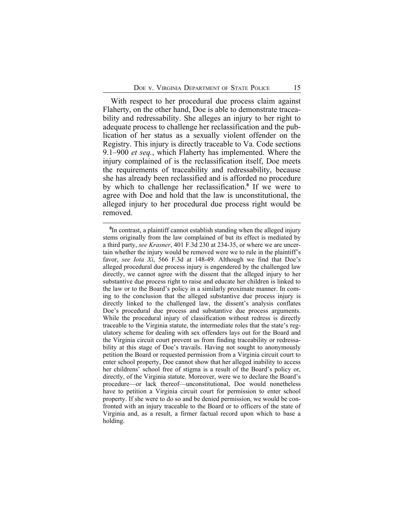With respect to her procedural due process claim against Flaherty, on the other hand, Doe is able to demonstrate traceability and redressability. She alleges an injury to her right to adequate process to challenge her reclassification and the publication of her status as a sexually violent offender on the Registry. This injury is directly traceable to Va. Code sections 9.1–900 *et seq.*, which Flaherty has implemented. Where the injury complained of is the reclassification itself, Doe meets the requirements of traceability and redressability, because she has already been reclassified and is afforded no procedure by which to challenge her reclassification.**<sup>9</sup>** If we were to agree with Doe and hold that the law is unconstitutional, the alleged injury to her procedural due process right would be removed.

**<sup>9</sup>** In contrast, a plaintiff cannot establish standing when the alleged injury stems originally from the law complained of but its effect is mediated by a third party, *see Krasner*, 401 F.3d 230 at 234-35, or where we are uncertain whether the injury would be removed were we to rule in the plaintiff's favor, *see Iota Xi*, 566 F.3d at 148-49. Although we find that Doe's alleged procedural due process injury is engendered by the challenged law directly, we cannot agree with the dissent that the alleged injury to her substantive due process right to raise and educate her children is linked to the law or to the Board's policy in a similarly proximate manner. In coming to the conclusion that the alleged substantive due process injury is directly linked to the challenged law, the dissent's analysis conflates Doe's procedural due process and substantive due process arguments. While the procedural injury of classification without redress is directly traceable to the Virginia statute, the intermediate roles that the state's regulatory scheme for dealing with sex offenders lays out for the Board and the Virginia circuit court prevent us from finding traceability or redressability at this stage of Doe's travails. Having not sought to anonymously petition the Board or requested permission from a Virginia circuit court to enter school property, Doe cannot show that her alleged inability to access her childrens' school free of stigma is a result of the Board's policy or, directly, of the Virginia statute. Moreover, were we to declare the Board's procedure—or lack thereof—unconstitutional, Doe would nonetheless have to petition a Virginia circuit court for permission to enter school property. If she were to do so and be denied permission, we would be confronted with an injury traceable to the Board or to officers of the state of Virginia and, as a result, a firmer factual record upon which to base a holding.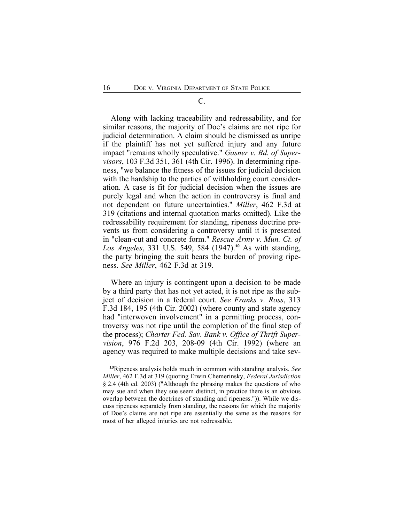#### C.

Along with lacking traceability and redressability, and for similar reasons, the majority of Doe's claims are not ripe for judicial determination. A claim should be dismissed as unripe if the plaintiff has not yet suffered injury and any future impact "remains wholly speculative." *Gasner v. Bd. of Supervisors*, 103 F.3d 351, 361 (4th Cir. 1996). In determining ripeness, "we balance the fitness of the issues for judicial decision with the hardship to the parties of withholding court consideration. A case is fit for judicial decision when the issues are purely legal and when the action in controversy is final and not dependent on future uncertainties." *Miller*, 462 F.3d at 319 (citations and internal quotation marks omitted). Like the redressability requirement for standing, ripeness doctrine prevents us from considering a controversy until it is presented in "clean-cut and concrete form." *Rescue Army v. Mun. Ct. of Los Angeles*, 331 U.S. 549, 584 (1947).**<sup>10</sup>** As with standing, the party bringing the suit bears the burden of proving ripeness. *See Miller*, 462 F.3d at 319.

Where an injury is contingent upon a decision to be made by a third party that has not yet acted, it is not ripe as the subject of decision in a federal court. *See Franks v. Ross*, 313 F.3d 184, 195 (4th Cir. 2002) (where county and state agency had "interwoven involvement" in a permitting process, controversy was not ripe until the completion of the final step of the process); *Charter Fed. Sav. Bank v. Office of Thrift Supervision*, 976 F.2d 203, 208-09 (4th Cir. 1992) (where an agency was required to make multiple decisions and take sev-

**<sup>10</sup>**Ripeness analysis holds much in common with standing analysis. *See Miller*, 462 F.3d at 319 (quoting Erwin Chemerinsky, *Federal Jurisdiction* § 2.4 (4th ed. 2003) ("Although the phrasing makes the questions of who may sue and when they sue seem distinct, in practice there is an obvious overlap between the doctrines of standing and ripeness.")). While we discuss ripeness separately from standing, the reasons for which the majority of Doe's claims are not ripe are essentially the same as the reasons for most of her alleged injuries are not redressable.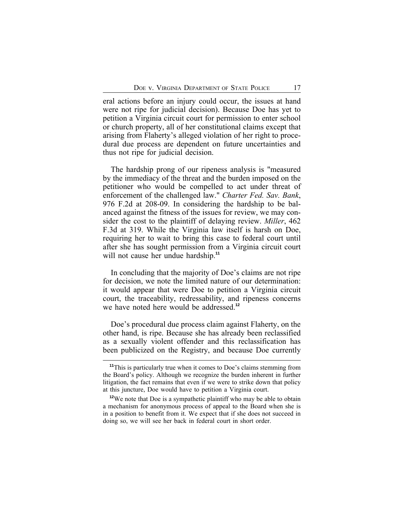eral actions before an injury could occur, the issues at hand were not ripe for judicial decision). Because Doe has yet to petition a Virginia circuit court for permission to enter school or church property, all of her constitutional claims except that arising from Flaherty's alleged violation of her right to procedural due process are dependent on future uncertainties and thus not ripe for judicial decision.

The hardship prong of our ripeness analysis is "measured by the immediacy of the threat and the burden imposed on the petitioner who would be compelled to act under threat of enforcement of the challenged law." *Charter Fed. Sav. Bank*, 976 F.2d at 208-09. In considering the hardship to be balanced against the fitness of the issues for review, we may consider the cost to the plaintiff of delaying review. *Miller*, 462 F.3d at 319. While the Virginia law itself is harsh on Doe, requiring her to wait to bring this case to federal court until after she has sought permission from a Virginia circuit court will not cause her undue hardship.<sup>11</sup>

In concluding that the majority of Doe's claims are not ripe for decision, we note the limited nature of our determination: it would appear that were Doe to petition a Virginia circuit court, the traceability, redressability, and ripeness concerns we have noted here would be addressed.**<sup>12</sup>**

Doe's procedural due process claim against Flaherty, on the other hand, is ripe. Because she has already been reclassified as a sexually violent offender and this reclassification has been publicized on the Registry, and because Doe currently

**<sup>11</sup>**This is particularly true when it comes to Doe's claims stemming from the Board's policy. Although we recognize the burden inherent in further litigation, the fact remains that even if we were to strike down that policy at this juncture, Doe would have to petition a Virginia court.

<sup>&</sup>lt;sup>12</sup>We note that Doe is a sympathetic plaintiff who may be able to obtain a mechanism for anonymous process of appeal to the Board when she is in a position to benefit from it. We expect that if she does not succeed in doing so, we will see her back in federal court in short order.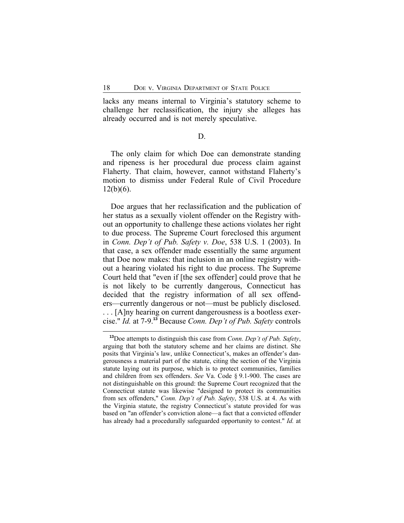lacks any means internal to Virginia's statutory scheme to challenge her reclassification, the injury she alleges has already occurred and is not merely speculative.

#### D.

The only claim for which Doe can demonstrate standing and ripeness is her procedural due process claim against Flaherty. That claim, however, cannot withstand Flaherty's motion to dismiss under Federal Rule of Civil Procedure  $12(b)(6)$ .

Doe argues that her reclassification and the publication of her status as a sexually violent offender on the Registry without an opportunity to challenge these actions violates her right to due process. The Supreme Court foreclosed this argument in *Conn. Dep't of Pub. Safety v. Doe*, 538 U.S. 1 (2003). In that case, a sex offender made essentially the same argument that Doe now makes: that inclusion in an online registry without a hearing violated his right to due process. The Supreme Court held that "even if [the sex offender] could prove that he is not likely to be currently dangerous, Connecticut has decided that the registry information of all sex offenders—currently dangerous or not—must be publicly disclosed. . . . [A]ny hearing on current dangerousness is a bootless exercise." *Id.* at 7-9.**<sup>13</sup>** Because *Conn. Dep't of Pub. Safety* controls

**<sup>13</sup>**Doe attempts to distinguish this case from *Conn. Dep't of Pub. Safety*, arguing that both the statutory scheme and her claims are distinct. She posits that Virginia's law, unlike Connecticut's, makes an offender's dangerousness a material part of the statute, citing the section of the Virginia statute laying out its purpose, which is to protect communities, families and children from sex offenders. *See* Va. Code § 9.1-900. The cases are not distinguishable on this ground: the Supreme Court recognized that the Connecticut statute was likewise "designed to protect its communities from sex offenders," *Conn. Dep't of Pub. Safety*, 538 U.S. at 4. As with the Virginia statute, the registry Connecticut's statute provided for was based on "an offender's conviction alone—a fact that a convicted offender has already had a procedurally safeguarded opportunity to contest." *Id.* at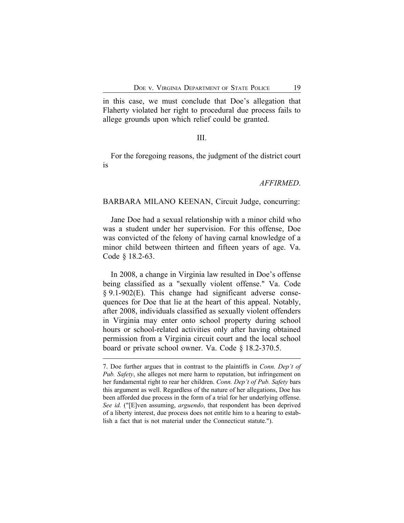in this case, we must conclude that Doe's allegation that Flaherty violated her right to procedural due process fails to allege grounds upon which relief could be granted.

#### III.

For the foregoing reasons, the judgment of the district court is

#### *AFFIRMED*.

#### BARBARA MILANO KEENAN, Circuit Judge, concurring:

Jane Doe had a sexual relationship with a minor child who was a student under her supervision. For this offense, Doe was convicted of the felony of having carnal knowledge of a minor child between thirteen and fifteen years of age. Va. Code § 18.2-63.

In 2008, a change in Virginia law resulted in Doe's offense being classified as a "sexually violent offense." Va. Code § 9.1-902(E). This change had significant adverse consequences for Doe that lie at the heart of this appeal. Notably, after 2008, individuals classified as sexually violent offenders in Virginia may enter onto school property during school hours or school-related activities only after having obtained permission from a Virginia circuit court and the local school board or private school owner. Va. Code § 18.2-370.5.

<sup>7.</sup> Doe further argues that in contrast to the plaintiffs in *Conn. Dep't of Pub. Safety*, she alleges not mere harm to reputation, but infringement on her fundamental right to rear her children. *Conn. Dep't of Pub. Safety* bars this argument as well. Regardless of the nature of her allegations, Doe has been afforded due process in the form of a trial for her underlying offense. *See id.* ("[E]ven assuming, *arguendo*, that respondent has been deprived of a liberty interest, due process does not entitle him to a hearing to establish a fact that is not material under the Connecticut statute.").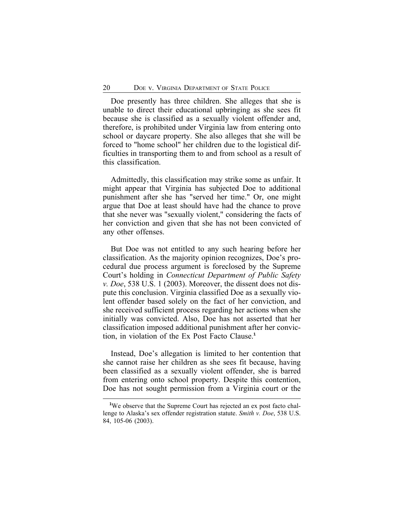Doe presently has three children. She alleges that she is unable to direct their educational upbringing as she sees fit because she is classified as a sexually violent offender and, therefore, is prohibited under Virginia law from entering onto school or daycare property. She also alleges that she will be forced to "home school" her children due to the logistical difficulties in transporting them to and from school as a result of this classification.

Admittedly, this classification may strike some as unfair. It might appear that Virginia has subjected Doe to additional punishment after she has "served her time." Or, one might argue that Doe at least should have had the chance to prove that she never was "sexually violent," considering the facts of her conviction and given that she has not been convicted of any other offenses.

But Doe was not entitled to any such hearing before her classification. As the majority opinion recognizes, Doe's procedural due process argument is foreclosed by the Supreme Court's holding in *Connecticut Department of Public Safety v. Doe*, 538 U.S. 1 (2003). Moreover, the dissent does not dispute this conclusion. Virginia classified Doe as a sexually violent offender based solely on the fact of her conviction, and she received sufficient process regarding her actions when she initially was convicted. Also, Doe has not asserted that her classification imposed additional punishment after her conviction, in violation of the Ex Post Facto Clause.**<sup>1</sup>**

Instead, Doe's allegation is limited to her contention that she cannot raise her children as she sees fit because, having been classified as a sexually violent offender, she is barred from entering onto school property. Despite this contention, Doe has not sought permission from a Virginia court or the

**<sup>1</sup>**We observe that the Supreme Court has rejected an ex post facto challenge to Alaska's sex offender registration statute. *Smith v. Doe*, 538 U.S. 84, 105-06 (2003).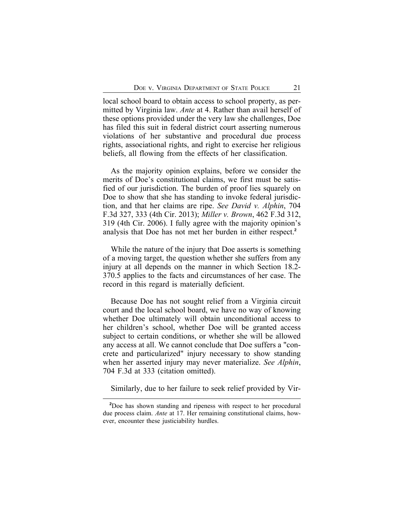local school board to obtain access to school property, as permitted by Virginia law. *Ante* at 4. Rather than avail herself of these options provided under the very law she challenges, Doe has filed this suit in federal district court asserting numerous violations of her substantive and procedural due process rights, associational rights, and right to exercise her religious beliefs, all flowing from the effects of her classification.

As the majority opinion explains, before we consider the merits of Doe's constitutional claims, we first must be satisfied of our jurisdiction. The burden of proof lies squarely on Doe to show that she has standing to invoke federal jurisdiction, and that her claims are ripe. *See David v. Alphin*, 704 F.3d 327, 333 (4th Cir. 2013); *Miller v. Brown*, 462 F.3d 312, 319 (4th Cir. 2006). I fully agree with the majority opinion's analysis that Doe has not met her burden in either respect.**<sup>2</sup>**

While the nature of the injury that Doe asserts is something of a moving target, the question whether she suffers from any injury at all depends on the manner in which Section 18.2- 370.5 applies to the facts and circumstances of her case. The record in this regard is materially deficient.

Because Doe has not sought relief from a Virginia circuit court and the local school board, we have no way of knowing whether Doe ultimately will obtain unconditional access to her children's school, whether Doe will be granted access subject to certain conditions, or whether she will be allowed any access at all. We cannot conclude that Doe suffers a "concrete and particularized" injury necessary to show standing when her asserted injury may never materialize. *See Alphin*, 704 F.3d at 333 (citation omitted).

Similarly, due to her failure to seek relief provided by Vir-

**<sup>2</sup>**Doe has shown standing and ripeness with respect to her procedural due process claim. *Ante* at 17. Her remaining constitutional claims, however, encounter these justiciability hurdles.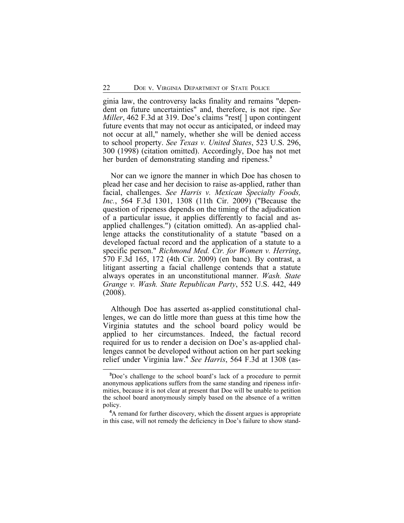ginia law, the controversy lacks finality and remains "dependent on future uncertainties" and, therefore, is not ripe. *See Miller*, 462 F.3d at 319. Doe's claims "rest[] upon contingent future events that may not occur as anticipated, or indeed may not occur at all," namely, whether she will be denied access to school property. *See Texas v. United States*, 523 U.S. 296, 300 (1998) (citation omitted). Accordingly, Doe has not met her burden of demonstrating standing and ripeness.**<sup>3</sup>**

Nor can we ignore the manner in which Doe has chosen to plead her case and her decision to raise as-applied, rather than facial, challenges. *See Harris v. Mexican Specialty Foods, Inc.*, 564 F.3d 1301, 1308 (11th Cir. 2009) ("Because the question of ripeness depends on the timing of the adjudication of a particular issue, it applies differently to facial and asapplied challenges.") (citation omitted). An as-applied challenge attacks the constitutionality of a statute "based on a developed factual record and the application of a statute to a specific person." *Richmond Med. Ctr. for Women v. Herring*, 570 F.3d 165, 172 (4th Cir. 2009) (en banc). By contrast, a litigant asserting a facial challenge contends that a statute always operates in an unconstitutional manner. *Wash. State Grange v. Wash. State Republican Party*, 552 U.S. 442, 449 (2008).

Although Doe has asserted as-applied constitutional challenges, we can do little more than guess at this time how the Virginia statutes and the school board policy would be applied to her circumstances. Indeed, the factual record required for us to render a decision on Doe's as-applied challenges cannot be developed without action on her part seeking relief under Virginia law.**<sup>4</sup>** *See Harris*, 564 F.3d at 1308 (as-

**<sup>3</sup>**Doe's challenge to the school board's lack of a procedure to permit anonymous applications suffers from the same standing and ripeness infirmities, because it is not clear at present that Doe will be unable to petition the school board anonymously simply based on the absence of a written policy.

**<sup>4</sup>**A remand for further discovery, which the dissent argues is appropriate in this case, will not remedy the deficiency in Doe's failure to show stand-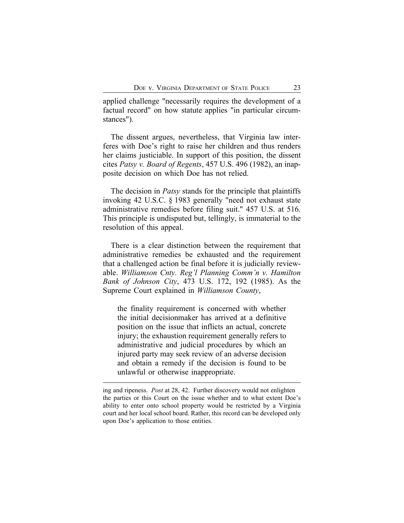applied challenge "necessarily requires the development of a factual record" on how statute applies "in particular circumstances").

The dissent argues, nevertheless, that Virginia law interferes with Doe's right to raise her children and thus renders her claims justiciable. In support of this position, the dissent cites *Patsy v. Board of Regents*, 457 U.S. 496 (1982), an inapposite decision on which Doe has not relied.

The decision in *Patsy* stands for the principle that plaintiffs invoking 42 U.S.C. § 1983 generally "need not exhaust state administrative remedies before filing suit." 457 U.S. at 516. This principle is undisputed but, tellingly, is immaterial to the resolution of this appeal.

There is a clear distinction between the requirement that administrative remedies be exhausted and the requirement that a challenged action be final before it is judicially reviewable. *Williamson Cnty. Reg'l Planning Comm'n v. Hamilton Bank of Johnson City*, 473 U.S. 172, 192 (1985). As the Supreme Court explained in *Williamson County*,

the finality requirement is concerned with whether the initial decisionmaker has arrived at a definitive position on the issue that inflicts an actual, concrete injury; the exhaustion requirement generally refers to administrative and judicial procedures by which an injured party may seek review of an adverse decision and obtain a remedy if the decision is found to be unlawful or otherwise inappropriate.

ing and ripeness. *Post* at 28, 42. Further discovery would not enlighten the parties or this Court on the issue whether and to what extent Doe's ability to enter onto school property would be restricted by a Virginia court and her local school board. Rather, this record can be developed only upon Doe's application to those entities.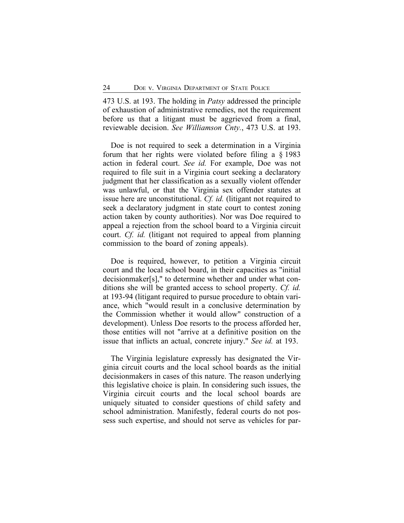473 U.S. at 193. The holding in *Patsy* addressed the principle of exhaustion of administrative remedies, not the requirement before us that a litigant must be aggrieved from a final, reviewable decision. *See Williamson Cnty.*, 473 U.S. at 193.

Doe is not required to seek a determination in a Virginia forum that her rights were violated before filing a § 1983 action in federal court. *See id.* For example, Doe was not required to file suit in a Virginia court seeking a declaratory judgment that her classification as a sexually violent offender was unlawful, or that the Virginia sex offender statutes at issue here are unconstitutional. *Cf. id.* (litigant not required to seek a declaratory judgment in state court to contest zoning action taken by county authorities). Nor was Doe required to appeal a rejection from the school board to a Virginia circuit court. *Cf. id.* (litigant not required to appeal from planning commission to the board of zoning appeals).

Doe is required, however, to petition a Virginia circuit court and the local school board, in their capacities as "initial decisionmaker[s]," to determine whether and under what conditions she will be granted access to school property. *Cf. id.* at 193-94 (litigant required to pursue procedure to obtain variance, which "would result in a conclusive determination by the Commission whether it would allow" construction of a development). Unless Doe resorts to the process afforded her, those entities will not "arrive at a definitive position on the issue that inflicts an actual, concrete injury." *See id.* at 193.

The Virginia legislature expressly has designated the Virginia circuit courts and the local school boards as the initial decisionmakers in cases of this nature. The reason underlying this legislative choice is plain. In considering such issues, the Virginia circuit courts and the local school boards are uniquely situated to consider questions of child safety and school administration. Manifestly, federal courts do not possess such expertise, and should not serve as vehicles for par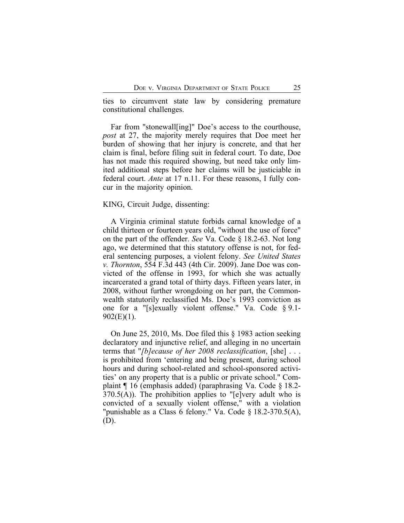ties to circumvent state law by considering premature constitutional challenges.

Far from "stonewall[ing]" Doe's access to the courthouse, *post* at 27, the majority merely requires that Doe meet her burden of showing that her injury is concrete, and that her claim is final, before filing suit in federal court. To date, Doe has not made this required showing, but need take only limited additional steps before her claims will be justiciable in federal court. *Ante* at 17 n.11. For these reasons, I fully concur in the majority opinion.

## KING, Circuit Judge, dissenting:

A Virginia criminal statute forbids carnal knowledge of a child thirteen or fourteen years old, "without the use of force" on the part of the offender. *See* Va. Code § 18.2-63. Not long ago, we determined that this statutory offense is not, for federal sentencing purposes, a violent felony. *See United States v. Thornton*, 554 F.3d 443 (4th Cir. 2009). Jane Doe was convicted of the offense in 1993, for which she was actually incarcerated a grand total of thirty days. Fifteen years later, in 2008, without further wrongdoing on her part, the Commonwealth statutorily reclassified Ms. Doe's 1993 conviction as one for a "[s]exually violent offense." Va. Code § 9.1-  $902(E)(1)$ .

On June 25, 2010, Ms. Doe filed this § 1983 action seeking declaratory and injunctive relief, and alleging in no uncertain terms that "*[b]ecause of her 2008 reclassification*, [she] . . . is prohibited from 'entering and being present, during school hours and during school-related and school-sponsored activities' on any property that is a public or private school." Complaint ¶ 16 (emphasis added) (paraphrasing Va. Code § 18.2-  $370.5(A)$ ). The prohibition applies to "[e]very adult who is convicted of a sexually violent offense," with a violation "punishable as a Class 6 felony." Va. Code § 18.2-370.5(A), (D).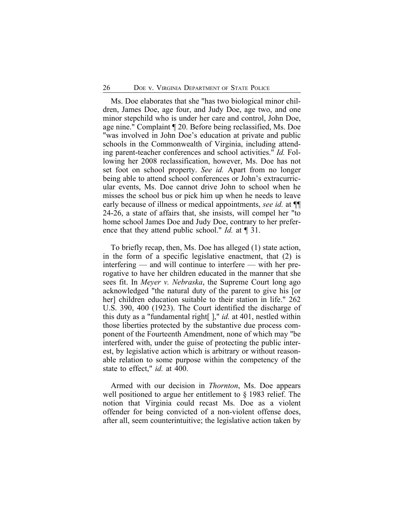Ms. Doe elaborates that she "has two biological minor children, James Doe, age four, and Judy Doe, age two, and one minor stepchild who is under her care and control, John Doe, age nine." Complaint ¶ 20. Before being reclassified, Ms. Doe "was involved in John Doe's education at private and public schools in the Commonwealth of Virginia, including attending parent-teacher conferences and school activities." *Id.* Following her 2008 reclassification, however, Ms. Doe has not set foot on school property. *See id.* Apart from no longer being able to attend school conferences or John's extracurricular events, Ms. Doe cannot drive John to school when he misses the school bus or pick him up when he needs to leave early because of illness or medical appointments, *see id.* at ¶¶ 24-26, a state of affairs that, she insists, will compel her "to home school James Doe and Judy Doe, contrary to her preference that they attend public school." *Id.* at ¶ 31.

To briefly recap, then, Ms. Doe has alleged (1) state action, in the form of a specific legislative enactment, that (2) is interfering — and will continue to interfere — with her prerogative to have her children educated in the manner that she sees fit. In *Meyer v. Nebraska*, the Supreme Court long ago acknowledged "the natural duty of the parent to give his [or her] children education suitable to their station in life." 262 U.S. 390, 400 (1923). The Court identified the discharge of this duty as a "fundamental right[ ]," *id.* at 401, nestled within those liberties protected by the substantive due process component of the Fourteenth Amendment, none of which may "be interfered with, under the guise of protecting the public interest, by legislative action which is arbitrary or without reasonable relation to some purpose within the competency of the state to effect," *id.* at 400.

Armed with our decision in *Thornton*, Ms. Doe appears well positioned to argue her entitlement to § 1983 relief. The notion that Virginia could recast Ms. Doe as a violent offender for being convicted of a non-violent offense does, after all, seem counterintuitive; the legislative action taken by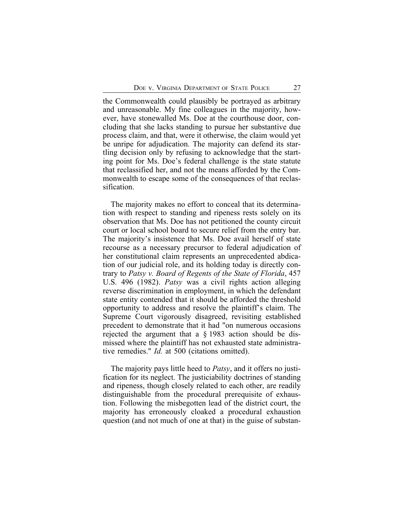the Commonwealth could plausibly be portrayed as arbitrary and unreasonable. My fine colleagues in the majority, however, have stonewalled Ms. Doe at the courthouse door, concluding that she lacks standing to pursue her substantive due process claim, and that, were it otherwise, the claim would yet be unripe for adjudication. The majority can defend its startling decision only by refusing to acknowledge that the starting point for Ms. Doe's federal challenge is the state statute that reclassified her, and not the means afforded by the Commonwealth to escape some of the consequences of that reclassification.

The majority makes no effort to conceal that its determination with respect to standing and ripeness rests solely on its observation that Ms. Doe has not petitioned the county circuit court or local school board to secure relief from the entry bar. The majority's insistence that Ms. Doe avail herself of state recourse as a necessary precursor to federal adjudication of her constitutional claim represents an unprecedented abdication of our judicial role, and its holding today is directly contrary to *Patsy v. Board of Regents of the State of Florida*, 457 U.S. 496 (1982). *Patsy* was a civil rights action alleging reverse discrimination in employment, in which the defendant state entity contended that it should be afforded the threshold opportunity to address and resolve the plaintiff's claim. The Supreme Court vigorously disagreed, revisiting established precedent to demonstrate that it had "on numerous occasions rejected the argument that a § 1983 action should be dismissed where the plaintiff has not exhausted state administrative remedies." *Id.* at 500 (citations omitted).

The majority pays little heed to *Patsy*, and it offers no justification for its neglect. The justiciability doctrines of standing and ripeness, though closely related to each other, are readily distinguishable from the procedural prerequisite of exhaustion. Following the misbegotten lead of the district court, the majority has erroneously cloaked a procedural exhaustion question (and not much of one at that) in the guise of substan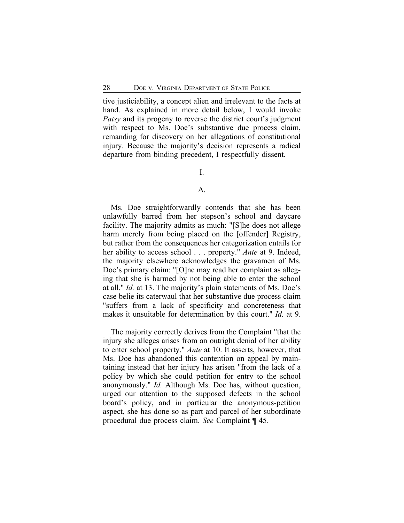tive justiciability, a concept alien and irrelevant to the facts at hand. As explained in more detail below, I would invoke *Patsy* and its progeny to reverse the district court's judgment with respect to Ms. Doe's substantive due process claim, remanding for discovery on her allegations of constitutional injury. Because the majority's decision represents a radical departure from binding precedent, I respectfully dissent.

I.

## A.

Ms. Doe straightforwardly contends that she has been unlawfully barred from her stepson's school and daycare facility. The majority admits as much: "[S]he does not allege harm merely from being placed on the [offender] Registry, but rather from the consequences her categorization entails for her ability to access school . . . property." *Ante* at 9. Indeed, the majority elsewhere acknowledges the gravamen of Ms. Doe's primary claim: "[O]ne may read her complaint as alleging that she is harmed by not being able to enter the school at all." *Id.* at 13. The majority's plain statements of Ms. Doe's case belie its caterwaul that her substantive due process claim "suffers from a lack of specificity and concreteness that makes it unsuitable for determination by this court." *Id.* at 9.

The majority correctly derives from the Complaint "that the injury she alleges arises from an outright denial of her ability to enter school property." *Ante* at 10. It asserts, however, that Ms. Doe has abandoned this contention on appeal by maintaining instead that her injury has arisen "from the lack of a policy by which she could petition for entry to the school anonymously." *Id.* Although Ms. Doe has, without question, urged our attention to the supposed defects in the school board's policy, and in particular the anonymous-petition aspect, she has done so as part and parcel of her subordinate procedural due process claim. *See* Complaint ¶ 45.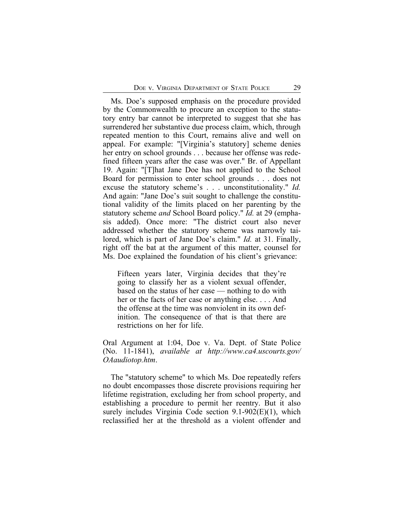Ms. Doe's supposed emphasis on the procedure provided by the Commonwealth to procure an exception to the statutory entry bar cannot be interpreted to suggest that she has surrendered her substantive due process claim, which, through repeated mention to this Court, remains alive and well on appeal. For example: "[Virginia's statutory] scheme denies her entry on school grounds . . . because her offense was redefined fifteen years after the case was over." Br. of Appellant 19. Again: "[T]hat Jane Doe has not applied to the School Board for permission to enter school grounds . . . does not excuse the statutory scheme's . . . unconstitutionality." *Id.* And again: "Jane Doe's suit sought to challenge the constitutional validity of the limits placed on her parenting by the statutory scheme *and* School Board policy." *Id.* at 29 (emphasis added). Once more: "The district court also never addressed whether the statutory scheme was narrowly tailored, which is part of Jane Doe's claim." *Id.* at 31. Finally, right off the bat at the argument of this matter, counsel for Ms. Doe explained the foundation of his client's grievance:

Fifteen years later, Virginia decides that they're going to classify her as a violent sexual offender, based on the status of her case — nothing to do with her or the facts of her case or anything else. . . . And the offense at the time was nonviolent in its own definition. The consequence of that is that there are restrictions on her for life.

Oral Argument at 1:04, Doe v. Va. Dept. of State Police (No. 11-1841), *available at http://www.ca4.uscourts.gov/ OAaudiotop.htm*.

The "statutory scheme" to which Ms. Doe repeatedly refers no doubt encompasses those discrete provisions requiring her lifetime registration, excluding her from school property, and establishing a procedure to permit her reentry. But it also surely includes Virginia Code section 9.1-902(E)(1), which reclassified her at the threshold as a violent offender and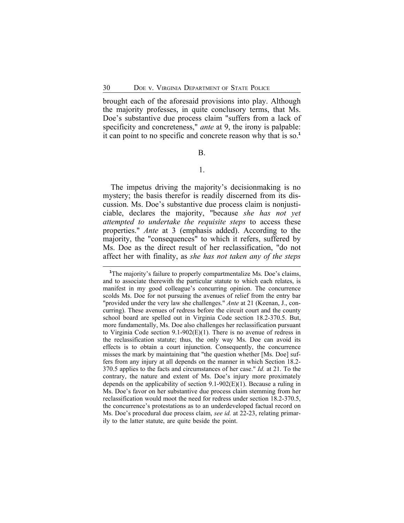brought each of the aforesaid provisions into play. Although the majority professes, in quite conclusory terms, that Ms. Doe's substantive due process claim "suffers from a lack of specificity and concreteness," *ante* at 9, the irony is palpable: it can point to no specific and concrete reason why that is so.**<sup>1</sup>**

#### B.

## 1.

The impetus driving the majority's decisionmaking is no mystery; the basis therefor is readily discerned from its discussion. Ms. Doe's substantive due process claim is nonjusticiable, declares the majority, "because *she has not yet attempted to undertake the requisite steps* to access these properties." *Ante* at 3 (emphasis added). According to the majority, the "consequences" to which it refers, suffered by Ms. Doe as the direct result of her reclassification, "do not affect her with finality, as *she has not taken any of the steps*

<sup>&</sup>lt;sup>1</sup>The majority's failure to properly compartmentalize Ms. Doe's claims, and to associate therewith the particular statute to which each relates, is manifest in my good colleague's concurring opinion. The concurrence scolds Ms. Doe for not pursuing the avenues of relief from the entry bar "provided under the very law she challenges." *Ante* at 21 (Keenan, J., concurring). These avenues of redress before the circuit court and the county school board are spelled out in Virginia Code section 18.2-370.5. But, more fundamentally, Ms. Doe also challenges her reclassification pursuant to Virginia Code section 9.1-902(E)(1). There is no avenue of redress in the reclassification statute; thus, the only way Ms. Doe can avoid its effects is to obtain a court injunction. Consequently, the concurrence misses the mark by maintaining that "the question whether [Ms. Doe] suffers from any injury at all depends on the manner in which Section 18.2- 370.5 applies to the facts and circumstances of her case." *Id.* at 21. To the contrary, the nature and extent of Ms. Doe's injury more proximately depends on the applicability of section 9.1-902(E)(1). Because a ruling in Ms. Doe's favor on her substantive due process claim stemming from her reclassification would moot the need for redress under section 18.2-370.5, the concurrence's protestations as to an underdeveloped factual record on Ms. Doe's procedural due process claim, *see id.* at 22-23, relating primarily to the latter statute, are quite beside the point.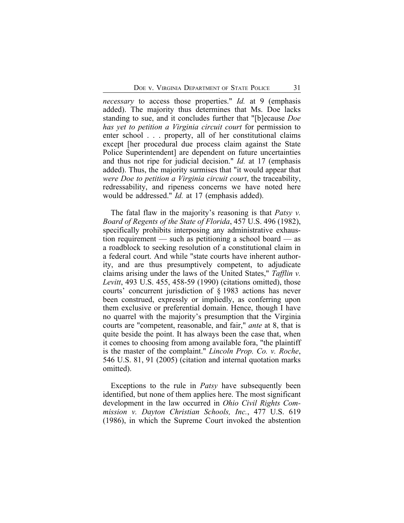*necessary* to access those properties." *Id.* at 9 (emphasis added). The majority thus determines that Ms. Doe lacks standing to sue, and it concludes further that "[b]ecause *Doe has yet to petition a Virginia circuit court* for permission to enter school . . . property, all of her constitutional claims except [her procedural due process claim against the State Police Superintendent] are dependent on future uncertainties and thus not ripe for judicial decision." *Id.* at 17 (emphasis added). Thus, the majority surmises that "it would appear that *were Doe to petition a Virginia circuit court*, the traceability, redressability, and ripeness concerns we have noted here would be addressed." *Id.* at 17 (emphasis added).

The fatal flaw in the majority's reasoning is that *Patsy v. Board of Regents of the State of Florida*, 457 U.S. 496 (1982), specifically prohibits interposing any administrative exhaustion requirement — such as petitioning a school board — as a roadblock to seeking resolution of a constitutional claim in a federal court. And while "state courts have inherent authority, and are thus presumptively competent, to adjudicate claims arising under the laws of the United States," *Tafflin v. Levitt*, 493 U.S. 455, 458-59 (1990) (citations omitted), those courts' concurrent jurisdiction of § 1983 actions has never been construed, expressly or impliedly, as conferring upon them exclusive or preferential domain. Hence, though I have no quarrel with the majority's presumption that the Virginia courts are "competent, reasonable, and fair," *ante* at 8, that is quite beside the point. It has always been the case that, when it comes to choosing from among available fora, "the plaintiff is the master of the complaint." *Lincoln Prop. Co. v. Roche*, 546 U.S. 81, 91 (2005) (citation and internal quotation marks omitted).

Exceptions to the rule in *Patsy* have subsequently been identified, but none of them applies here. The most significant development in the law occurred in *Ohio Civil Rights Commission v. Dayton Christian Schools, Inc.*, 477 U.S. 619 (1986), in which the Supreme Court invoked the abstention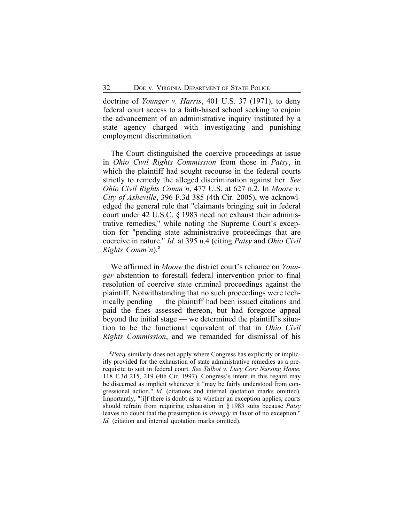doctrine of *Younger v. Harris*, 401 U.S. 37 (1971), to deny federal court access to a faith-based school seeking to enjoin the advancement of an administrative inquiry instituted by a state agency charged with investigating and punishing employment discrimination.

The Court distinguished the coercive proceedings at issue in *Ohio Civil Rights Commission* from those in *Patsy*, in which the plaintiff had sought recourse in the federal courts strictly to remedy the alleged discrimination against her. *See Ohio Civil Rights Comm'n*, 477 U.S. at 627 n.2. In *Moore v. City of Asheville*, 396 F.3d 385 (4th Cir. 2005), we acknowledged the general rule that "claimants bringing suit in federal court under 42 U.S.C. § 1983 need not exhaust their administrative remedies," while noting the Supreme Court's exception for "pending state administrative proceedings that are coercive in nature." *Id.* at 395 n.4 (citing *Patsy* and *Ohio Civil Rights Comm'n*).**<sup>2</sup>**

We affirmed in *Moore* the district court's reliance on *Younger* abstention to forestall federal intervention prior to final resolution of coercive state criminal proceedings against the plaintiff. Notwithstanding that no such proceedings were technically pending — the plaintiff had been issued citations and paid the fines assessed thereon, but had foregone appeal beyond the initial stage — we determined the plaintiff's situation to be the functional equivalent of that in *Ohio Civil Rights Commission*, and we remanded for dismissal of his

**<sup>2</sup>***Patsy* similarly does not apply where Congress has explicitly or implicitly provided for the exhaustion of state administrative remedies as a prerequisite to suit in federal court. *See Talbot v. Lucy Corr Nursing Home*, 118 F.3d 215, 219 (4th Cir. 1997). Congress's intent in this regard may be discerned as implicit whenever it "may be fairly understood from congressional action." *Id.* (citations and internal quotation marks omitted). Importantly, "[i]f there is doubt as to whether an exception applies, courts should refrain from requiring exhaustion in § 1983 suits because *Patsy* leaves no doubt that the presumption is *strongly* in favor of no exception." *Id.* (citation and internal quotation marks omitted).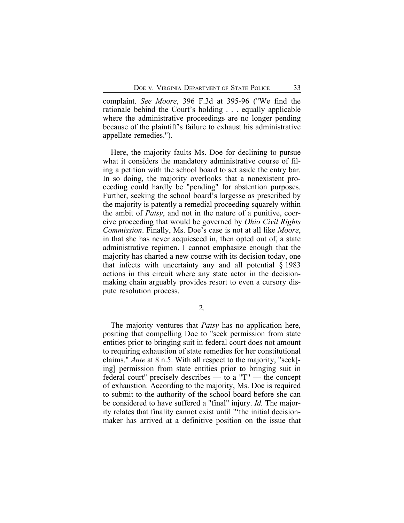complaint. *See Moore*, 396 F.3d at 395-96 ("We find the rationale behind the Court's holding . . . equally applicable where the administrative proceedings are no longer pending because of the plaintiff's failure to exhaust his administrative appellate remedies.").

Here, the majority faults Ms. Doe for declining to pursue what it considers the mandatory administrative course of filing a petition with the school board to set aside the entry bar. In so doing, the majority overlooks that a nonexistent proceeding could hardly be "pending" for abstention purposes. Further, seeking the school board's largesse as prescribed by the majority is patently a remedial proceeding squarely within the ambit of *Patsy*, and not in the nature of a punitive, coercive proceeding that would be governed by *Ohio Civil Rights Commission*. Finally, Ms. Doe's case is not at all like *Moore*, in that she has never acquiesced in, then opted out of, a state administrative regimen. I cannot emphasize enough that the majority has charted a new course with its decision today, one that infects with uncertainty any and all potential § 1983 actions in this circuit where any state actor in the decisionmaking chain arguably provides resort to even a cursory dispute resolution process.

2.

The majority ventures that *Patsy* has no application here, positing that compelling Doe to "seek permission from state entities prior to bringing suit in federal court does not amount to requiring exhaustion of state remedies for her constitutional claims." *Ante* at 8 n.5. With all respect to the majority, "seek[ ing] permission from state entities prior to bringing suit in federal court" precisely describes — to a "T" — the concept of exhaustion. According to the majority, Ms. Doe is required to submit to the authority of the school board before she can be considered to have suffered a "final" injury. *Id.* The majority relates that finality cannot exist until "'the initial decisionmaker has arrived at a definitive position on the issue that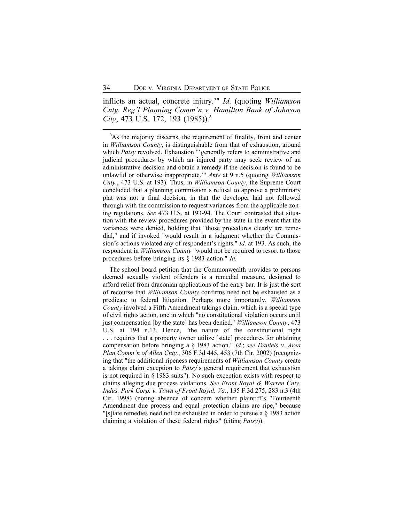inflicts an actual, concrete injury.'" *Id.* (quoting *Williamson Cnty. Reg'l Planning Comm'n v. Hamilton Bank of Johnson City*, 473 U.S. 172, 193 (1985)).**<sup>3</sup>**

<sup>3</sup>As the majority discerns, the requirement of finality, front and center in *Williamson County*, is distinguishable from that of exhaustion, around which *Patsy* revolved. Exhaustion "'generally refers to administrative and judicial procedures by which an injured party may seek review of an administrative decision and obtain a remedy if the decision is found to be unlawful or otherwise inappropriate.'" *Ante* at 9 n.5 (quoting *Williamson Cnty.*, 473 U.S. at 193). Thus, in *Williamson County*, the Supreme Court concluded that a planning commission's refusal to approve a preliminary plat was not a final decision, in that the developer had not followed through with the commission to request variances from the applicable zoning regulations. *See* 473 U.S. at 193-94. The Court contrasted that situation with the review procedures provided by the state in the event that the variances were denied, holding that "those procedures clearly are remedial," and if invoked "would result in a judgment whether the Commission's actions violated any of respondent's rights." *Id.* at 193. As such, the respondent in *Williamson County* "would not be required to resort to those procedures before bringing its § 1983 action." *Id.*

The school board petition that the Commonwealth provides to persons deemed sexually violent offenders is a remedial measure, designed to afford relief from draconian applications of the entry bar. It is just the sort of recourse that *Williamson County* confirms need not be exhausted as a predicate to federal litigation. Perhaps more importantly, *Williamson County* involved a Fifth Amendment takings claim, which is a special type of civil rights action, one in which "no constitutional violation occurs until just compensation [by the state] has been denied." *Williamson County*, 473 U.S. at 194 n.13. Hence, "the nature of the constitutional right . . . requires that a property owner utilize [state] procedures for obtaining compensation before bringing a § 1983 action." *Id.*; *see Daniels v. Area Plan Comm'n of Allen Cnty.*, 306 F.3d 445, 453 (7th Cir. 2002) (recognizing that "the additional ripeness requirements of *Williamson County* create a takings claim exception to *Patsy*'s general requirement that exhaustion is not required in § 1983 suits"). No such exception exists with respect to claims alleging due process violations. *See Front Royal & Warren Cnty. Indus. Park Corp. v. Town of Front Royal, Va.*, 135 F.3d 275, 283 n.3 (4th Cir. 1998) (noting absence of concern whether plaintiff's "Fourteenth Amendment due process and equal protection claims are ripe," because "[s]tate remedies need not be exhausted in order to pursue a § 1983 action claiming a violation of these federal rights" (citing *Patsy*)).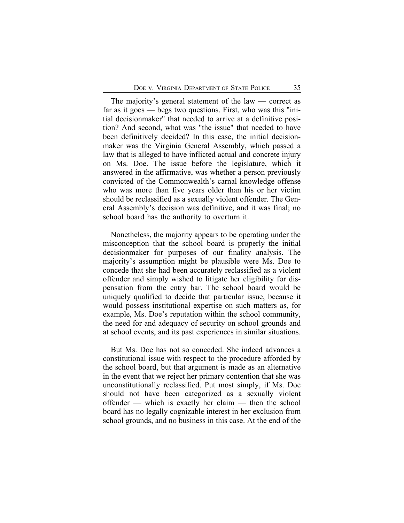The majority's general statement of the law — correct as far as it goes — begs two questions. First, who was this "initial decisionmaker" that needed to arrive at a definitive position? And second, what was "the issue" that needed to have been definitively decided? In this case, the initial decisionmaker was the Virginia General Assembly, which passed a law that is alleged to have inflicted actual and concrete injury on Ms. Doe. The issue before the legislature, which it answered in the affirmative, was whether a person previously convicted of the Commonwealth's carnal knowledge offense who was more than five years older than his or her victim should be reclassified as a sexually violent offender. The General Assembly's decision was definitive, and it was final; no school board has the authority to overturn it.

Nonetheless, the majority appears to be operating under the misconception that the school board is properly the initial decisionmaker for purposes of our finality analysis. The majority's assumption might be plausible were Ms. Doe to concede that she had been accurately reclassified as a violent offender and simply wished to litigate her eligibility for dispensation from the entry bar. The school board would be uniquely qualified to decide that particular issue, because it would possess institutional expertise on such matters as, for example, Ms. Doe's reputation within the school community, the need for and adequacy of security on school grounds and at school events, and its past experiences in similar situations.

But Ms. Doe has not so conceded. She indeed advances a constitutional issue with respect to the procedure afforded by the school board, but that argument is made as an alternative in the event that we reject her primary contention that she was unconstitutionally reclassified. Put most simply, if Ms. Doe should not have been categorized as a sexually violent offender — which is exactly her claim — then the school board has no legally cognizable interest in her exclusion from school grounds, and no business in this case. At the end of the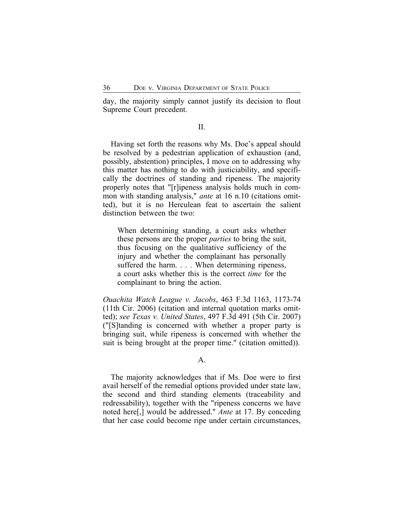day, the majority simply cannot justify its decision to flout Supreme Court precedent.

#### II.

Having set forth the reasons why Ms. Doe's appeal should be resolved by a pedestrian application of exhaustion (and, possibly, abstention) principles, I move on to addressing why this matter has nothing to do with justiciability, and specifically the doctrines of standing and ripeness. The majority properly notes that "[r]ipeness analysis holds much in common with standing analysis," *ante* at 16 n.10 (citations omitted), but it is no Herculean feat to ascertain the salient distinction between the two:

When determining standing, a court asks whether these persons are the proper *parties* to bring the suit, thus focusing on the qualitative sufficiency of the injury and whether the complainant has personally suffered the harm. . . . When determining ripeness, a court asks whether this is the correct *time* for the complainant to bring the action.

*Ouachita Watch League v. Jacobs*, 463 F.3d 1163, 1173-74 (11th Cir. 2006) (citation and internal quotation marks omitted); *see Texas v. United States*, 497 F.3d 491 (5th Cir. 2007) ("[S]tanding is concerned with whether a proper party is bringing suit, while ripeness is concerned with whether the suit is being brought at the proper time." (citation omitted)).

## A.

The majority acknowledges that if Ms. Doe were to first avail herself of the remedial options provided under state law, the second and third standing elements (traceability and redressability), together with the "ripeness concerns we have noted here[,] would be addressed." *Ante* at 17. By conceding that her case could become ripe under certain circumstances,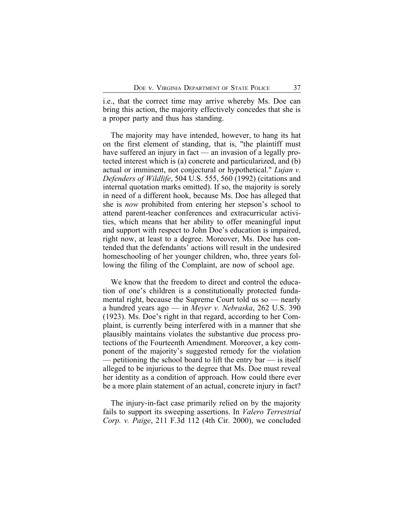i.e., that the correct time may arrive whereby Ms. Doe can bring this action, the majority effectively concedes that she is a proper party and thus has standing.

The majority may have intended, however, to hang its hat on the first element of standing, that is, "the plaintiff must have suffered an injury in fact — an invasion of a legally protected interest which is (a) concrete and particularized, and (b) actual or imminent, not conjectural or hypothetical." *Lujan v. Defenders of Wildlife*, 504 U.S. 555, 560 (1992) (citations and internal quotation marks omitted). If so, the majority is sorely in need of a different hook, because Ms. Doe has alleged that she is *now* prohibited from entering her stepson's school to attend parent-teacher conferences and extracurricular activities, which means that her ability to offer meaningful input and support with respect to John Doe's education is impaired, right now, at least to a degree. Moreover, Ms. Doe has contended that the defendants' actions will result in the undesired homeschooling of her younger children, who, three years following the filing of the Complaint, are now of school age.

We know that the freedom to direct and control the education of one's children is a constitutionally protected fundamental right, because the Supreme Court told us so — nearly a hundred years ago — in *Meyer v. Nebraska*, 262 U.S. 390 (1923). Ms. Doe's right in that regard, according to her Complaint, is currently being interfered with in a manner that she plausibly maintains violates the substantive due process protections of the Fourteenth Amendment. Moreover, a key component of the majority's suggested remedy for the violation — petitioning the school board to lift the entry bar — is itself alleged to be injurious to the degree that Ms. Doe must reveal her identity as a condition of approach. How could there ever be a more plain statement of an actual, concrete injury in fact?

The injury-in-fact case primarily relied on by the majority fails to support its sweeping assertions. In *Valero Terrestrial Corp. v. Paige*, 211 F.3d 112 (4th Cir. 2000), we concluded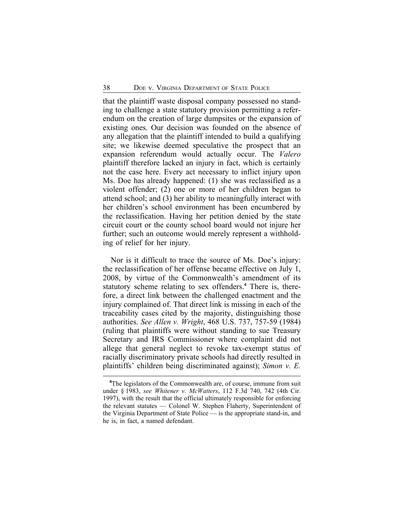that the plaintiff waste disposal company possessed no standing to challenge a state statutory provision permitting a referendum on the creation of large dumpsites or the expansion of existing ones. Our decision was founded on the absence of any allegation that the plaintiff intended to build a qualifying site; we likewise deemed speculative the prospect that an expansion referendum would actually occur. The *Valero* plaintiff therefore lacked an injury in fact, which is certainly not the case here. Every act necessary to inflict injury upon Ms. Doe has already happened: (1) she was reclassified as a violent offender; (2) one or more of her children began to attend school; and (3) her ability to meaningfully interact with her children's school environment has been encumbered by the reclassification. Having her petition denied by the state circuit court or the county school board would not injure her further; such an outcome would merely represent a withholding of relief for her injury.

Nor is it difficult to trace the source of Ms. Doe's injury: the reclassification of her offense became effective on July 1, 2008, by virtue of the Commonwealth's amendment of its statutory scheme relating to sex offenders.**<sup>4</sup>** There is, therefore, a direct link between the challenged enactment and the injury complained of. That direct link is missing in each of the traceability cases cited by the majority, distinguishing those authorities. *See Allen v. Wright*, 468 U.S. 737, 757-59 (1984) (ruling that plaintiffs were without standing to sue Treasury Secretary and IRS Commissioner where complaint did not allege that general neglect to revoke tax-exempt status of racially discriminatory private schools had directly resulted in plaintiffs' children being discriminated against); *Simon v. E.*

**<sup>4</sup>**The legislators of the Commonwealth are, of course, immune from suit under § 1983, *see Whitener v. McWatters*, 112 F.3d 740, 742 (4th Cir. 1997), with the result that the official ultimately responsible for enforcing the relevant statutes — Colonel W. Stephen Flaherty, Superintendent of the Virginia Department of State Police — is the appropriate stand-in, and he is, in fact, a named defendant.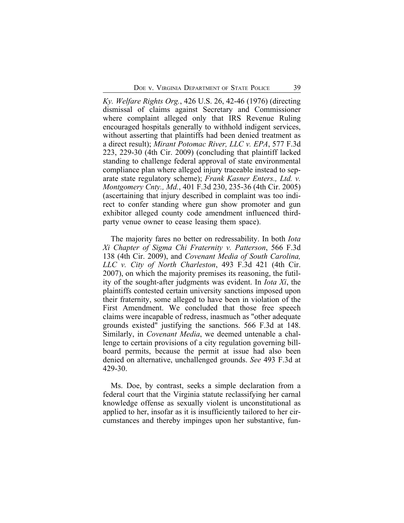*Ky. Welfare Rights Org.*, 426 U.S. 26, 42-46 (1976) (directing dismissal of claims against Secretary and Commissioner where complaint alleged only that IRS Revenue Ruling encouraged hospitals generally to withhold indigent services, without asserting that plaintiffs had been denied treatment as a direct result); *Mirant Potomac River, LLC v. EPA*, 577 F.3d 223, 229-30 (4th Cir. 2009) (concluding that plaintiff lacked standing to challenge federal approval of state environmental compliance plan where alleged injury traceable instead to separate state regulatory scheme); *Frank Kasner Enters., Ltd. v. Montgomery Cnty., Md.*, 401 F.3d 230, 235-36 (4th Cir. 2005) (ascertaining that injury described in complaint was too indirect to confer standing where gun show promoter and gun exhibitor alleged county code amendment influenced thirdparty venue owner to cease leasing them space).

The majority fares no better on redressability. In both *Iota Xi Chapter of Sigma Chi Fraternity v. Patterson*, 566 F.3d 138 (4th Cir. 2009), and *Covenant Media of South Carolina, LLC v. City of North Charleston*, 493 F.3d 421 (4th Cir. 2007), on which the majority premises its reasoning, the futility of the sought-after judgments was evident. In *Iota Xi*, the plaintiffs contested certain university sanctions imposed upon their fraternity, some alleged to have been in violation of the First Amendment. We concluded that those free speech claims were incapable of redress, inasmuch as "other adequate grounds existed" justifying the sanctions. 566 F.3d at 148. Similarly, in *Covenant Media*, we deemed untenable a challenge to certain provisions of a city regulation governing billboard permits, because the permit at issue had also been denied on alternative, unchallenged grounds. *See* 493 F.3d at 429-30.

Ms. Doe, by contrast, seeks a simple declaration from a federal court that the Virginia statute reclassifying her carnal knowledge offense as sexually violent is unconstitutional as applied to her, insofar as it is insufficiently tailored to her circumstances and thereby impinges upon her substantive, fun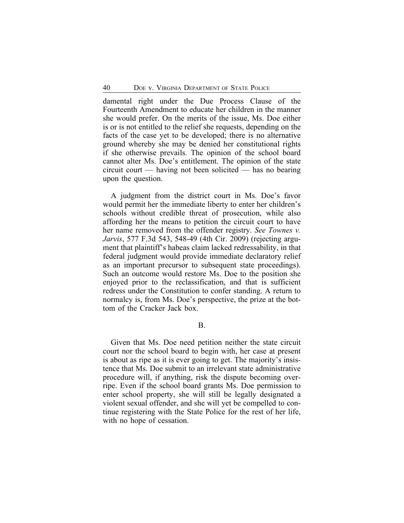damental right under the Due Process Clause of the Fourteenth Amendment to educate her children in the manner she would prefer. On the merits of the issue, Ms. Doe either is or is not entitled to the relief she requests, depending on the facts of the case yet to be developed; there is no alternative ground whereby she may be denied her constitutional rights if she otherwise prevails. The opinion of the school board cannot alter Ms. Doe's entitlement. The opinion of the state circuit court — having not been solicited — has no bearing upon the question.

A judgment from the district court in Ms. Doe's favor would permit her the immediate liberty to enter her children's schools without credible threat of prosecution, while also affording her the means to petition the circuit court to have her name removed from the offender registry. *See Townes v. Jarvis*, 577 F.3d 543, 548-49 (4th Cir. 2009) (rejecting argument that plaintiff's habeas claim lacked redressability, in that federal judgment would provide immediate declaratory relief as an important precursor to subsequent state proceedings). Such an outcome would restore Ms. Doe to the position she enjoyed prior to the reclassification, and that is sufficient redress under the Constitution to confer standing. A return to normalcy is, from Ms. Doe's perspective, the prize at the bottom of the Cracker Jack box.

B.

Given that Ms. Doe need petition neither the state circuit court nor the school board to begin with, her case at present is about as ripe as it is ever going to get. The majority's insistence that Ms. Doe submit to an irrelevant state administrative procedure will, if anything, risk the dispute becoming overripe. Even if the school board grants Ms. Doe permission to enter school property, she will still be legally designated a violent sexual offender, and she will yet be compelled to continue registering with the State Police for the rest of her life, with no hope of cessation.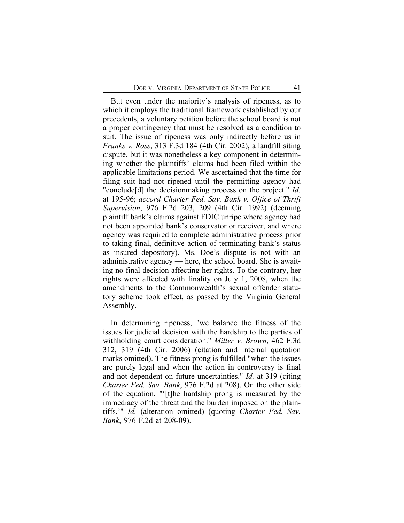But even under the majority's analysis of ripeness, as to which it employs the traditional framework established by our precedents, a voluntary petition before the school board is not a proper contingency that must be resolved as a condition to suit. The issue of ripeness was only indirectly before us in *Franks v. Ross*, 313 F.3d 184 (4th Cir. 2002), a landfill siting dispute, but it was nonetheless a key component in determining whether the plaintiffs' claims had been filed within the applicable limitations period. We ascertained that the time for filing suit had not ripened until the permitting agency had "conclude[d] the decisionmaking process on the project." *Id.* at 195-96; *accord Charter Fed. Sav. Bank v. Office of Thrift Supervision*, 976 F.2d 203, 209 (4th Cir. 1992) (deeming plaintiff bank's claims against FDIC unripe where agency had not been appointed bank's conservator or receiver, and where agency was required to complete administrative process prior to taking final, definitive action of terminating bank's status as insured depository). Ms. Doe's dispute is not with an administrative agency — here, the school board. She is awaiting no final decision affecting her rights. To the contrary, her rights were affected with finality on July 1, 2008, when the amendments to the Commonwealth's sexual offender statutory scheme took effect, as passed by the Virginia General Assembly.

In determining ripeness, "we balance the fitness of the issues for judicial decision with the hardship to the parties of withholding court consideration." *Miller v. Brown*, 462 F.3d 312, 319 (4th Cir. 2006) (citation and internal quotation marks omitted). The fitness prong is fulfilled "when the issues are purely legal and when the action in controversy is final and not dependent on future uncertainties." *Id.* at 319 (citing *Charter Fed. Sav. Bank*, 976 F.2d at 208). On the other side of the equation, "'[t]he hardship prong is measured by the immediacy of the threat and the burden imposed on the plaintiffs.'" *Id.* (alteration omitted) (quoting *Charter Fed. Sav. Bank*, 976 F.2d at 208-09).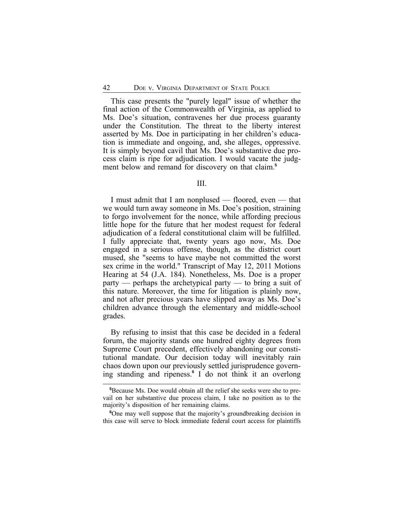This case presents the "purely legal" issue of whether the final action of the Commonwealth of Virginia, as applied to Ms. Doe's situation, contravenes her due process guaranty under the Constitution. The threat to the liberty interest asserted by Ms. Doe in participating in her children's education is immediate and ongoing, and, she alleges, oppressive. It is simply beyond cavil that Ms. Doe's substantive due process claim is ripe for adjudication. I would vacate the judgment below and remand for discovery on that claim.**<sup>5</sup>**

#### III.

I must admit that I am nonplused — floored, even — that we would turn away someone in Ms. Doe's position, straining to forgo involvement for the nonce, while affording precious little hope for the future that her modest request for federal adjudication of a federal constitutional claim will be fulfilled. I fully appreciate that, twenty years ago now, Ms. Doe engaged in a serious offense, though, as the district court mused, she "seems to have maybe not committed the worst sex crime in the world." Transcript of May 12, 2011 Motions Hearing at 54 (J.A. 184). Nonetheless, Ms. Doe is a proper party — perhaps the archetypical party — to bring a suit of this nature. Moreover, the time for litigation is plainly now, and not after precious years have slipped away as Ms. Doe's children advance through the elementary and middle-school grades.

By refusing to insist that this case be decided in a federal forum, the majority stands one hundred eighty degrees from Supreme Court precedent, effectively abandoning our constitutional mandate. Our decision today will inevitably rain chaos down upon our previously settled jurisprudence governing standing and ripeness.**<sup>6</sup>** I do not think it an overlong

**<sup>5</sup>**Because Ms. Doe would obtain all the relief she seeks were she to prevail on her substantive due process claim, I take no position as to the majority's disposition of her remaining claims.

**<sup>6</sup>**One may well suppose that the majority's groundbreaking decision in this case will serve to block immediate federal court access for plaintiffs